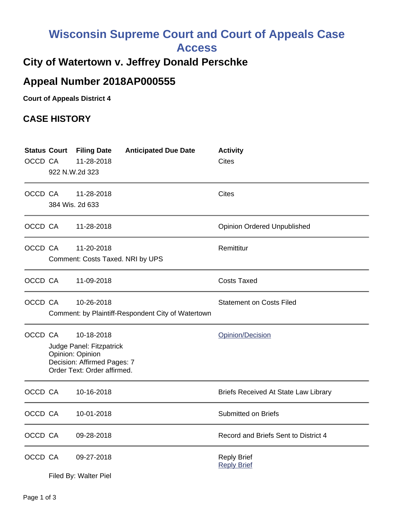## **Wisconsin Supreme Court and Court of Appeals Case**

**Access**

## **City of Watertown v. Jeffrey Donald Perschke**

## **Appeal Number 2018AP000555**

**Court of Appeals District 4**

## **CASE HISTORY**

| OCCD CA | 922 N.W.2d 323                                                                                                                      | <b>Status Court Filing Date</b><br>11-28-2018  | <b>Anticipated Due Date</b>                        | <b>Activity</b><br>Cites                    |
|---------|-------------------------------------------------------------------------------------------------------------------------------------|------------------------------------------------|----------------------------------------------------|---------------------------------------------|
| OCCD CA |                                                                                                                                     | 11-28-2018<br>384 Wis. 2d 633                  |                                                    | <b>Cites</b>                                |
| OCCD CA |                                                                                                                                     | 11-28-2018                                     |                                                    | <b>Opinion Ordered Unpublished</b>          |
| OCCD CA |                                                                                                                                     | 11-20-2018<br>Comment: Costs Taxed. NRI by UPS |                                                    | Remittitur                                  |
| OCCD CA |                                                                                                                                     | 11-09-2018                                     |                                                    | <b>Costs Taxed</b>                          |
| OCCD CA |                                                                                                                                     | 10-26-2018                                     | Comment: by Plaintiff-Respondent City of Watertown | <b>Statement on Costs Filed</b>             |
|         | OCCD CA<br>10-18-2018<br>Judge Panel: Fitzpatrick<br>Opinion: Opinion<br>Decision: Affirmed Pages: 7<br>Order Text: Order affirmed. |                                                |                                                    | Opinion/Decision                            |
| OCCD CA |                                                                                                                                     | 10-16-2018                                     |                                                    | <b>Briefs Received At State Law Library</b> |
| OCCD CA |                                                                                                                                     | 10-01-2018                                     |                                                    | <b>Submitted on Briefs</b>                  |
| OCCD CA |                                                                                                                                     | 09-28-2018                                     |                                                    | Record and Briefs Sent to District 4        |
| OCCD CA |                                                                                                                                     | 09-27-2018<br>Filed By: Walter Piel            |                                                    | <b>Reply Brief</b><br><b>Reply Brief</b>    |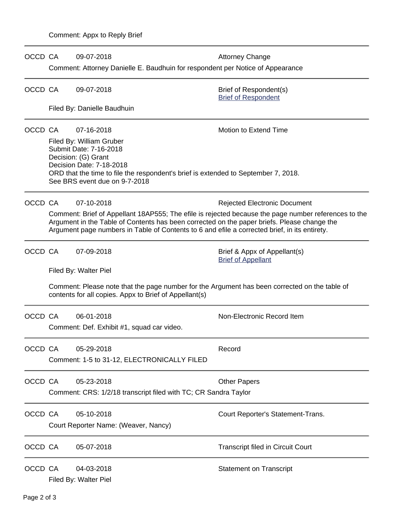| OCCD CA |                                                                                                                                                                                                                                                                                                                                                           | 09-07-2018<br>Comment: Attorney Danielle E. Baudhuin for respondent per Notice of Appearance                                                                                                                                               | <b>Attorney Change</b>                                    |  |  |  |  |
|---------|-----------------------------------------------------------------------------------------------------------------------------------------------------------------------------------------------------------------------------------------------------------------------------------------------------------------------------------------------------------|--------------------------------------------------------------------------------------------------------------------------------------------------------------------------------------------------------------------------------------------|-----------------------------------------------------------|--|--|--|--|
| OCCD CA |                                                                                                                                                                                                                                                                                                                                                           | 09-07-2018                                                                                                                                                                                                                                 | Brief of Respondent(s)<br><b>Brief of Respondent</b>      |  |  |  |  |
|         |                                                                                                                                                                                                                                                                                                                                                           | Filed By: Danielle Baudhuin                                                                                                                                                                                                                |                                                           |  |  |  |  |
| OCCD CA |                                                                                                                                                                                                                                                                                                                                                           | 07-16-2018<br>Filed By: William Gruber<br>Submit Date: 7-16-2018<br>Decision: (G) Grant<br>Decision Date: 7-18-2018<br>ORD that the time to file the respondent's brief is extended to September 7, 2018.<br>See BRS event due on 9-7-2018 | Motion to Extend Time                                     |  |  |  |  |
| OCCD CA | 07-10-2018<br><b>Rejected Electronic Document</b><br>Comment: Brief of Appellant 18AP555; The efile is rejected because the page number references to the<br>Argument in the Table of Contents has been corrected on the paper briefs. Please change the<br>Argument page numbers in Table of Contents to 6 and efile a corrected brief, in its entirety. |                                                                                                                                                                                                                                            |                                                           |  |  |  |  |
| OCCD CA |                                                                                                                                                                                                                                                                                                                                                           | 07-09-2018<br>Filed By: Walter Piel                                                                                                                                                                                                        | Brief & Appx of Appellant(s)<br><b>Brief of Appellant</b> |  |  |  |  |
|         |                                                                                                                                                                                                                                                                                                                                                           | Comment: Please note that the page number for the Argument has been corrected on the table of<br>contents for all copies. Appx to Brief of Appellant(s)                                                                                    |                                                           |  |  |  |  |
| OCCD CA |                                                                                                                                                                                                                                                                                                                                                           | 06-01-2018<br>Comment: Def. Exhibit #1, squad car video.                                                                                                                                                                                   | Non-Electronic Record Item                                |  |  |  |  |
| OCCD CA |                                                                                                                                                                                                                                                                                                                                                           | 05-29-2018<br>Comment: 1-5 to 31-12, ELECTRONICALLY FILED                                                                                                                                                                                  | Record                                                    |  |  |  |  |
| OCCD CA |                                                                                                                                                                                                                                                                                                                                                           | 05-23-2018<br>Comment: CRS: 1/2/18 transcript filed with TC; CR Sandra Taylor                                                                                                                                                              | <b>Other Papers</b>                                       |  |  |  |  |
| OCCD CA |                                                                                                                                                                                                                                                                                                                                                           | 05-10-2018<br>Court Reporter Name: (Weaver, Nancy)                                                                                                                                                                                         | Court Reporter's Statement-Trans.                         |  |  |  |  |
| OCCD CA |                                                                                                                                                                                                                                                                                                                                                           | 05-07-2018                                                                                                                                                                                                                                 | <b>Transcript filed in Circuit Court</b>                  |  |  |  |  |
| OCCD CA |                                                                                                                                                                                                                                                                                                                                                           | 04-03-2018<br>Filed By: Walter Piel                                                                                                                                                                                                        | <b>Statement on Transcript</b>                            |  |  |  |  |